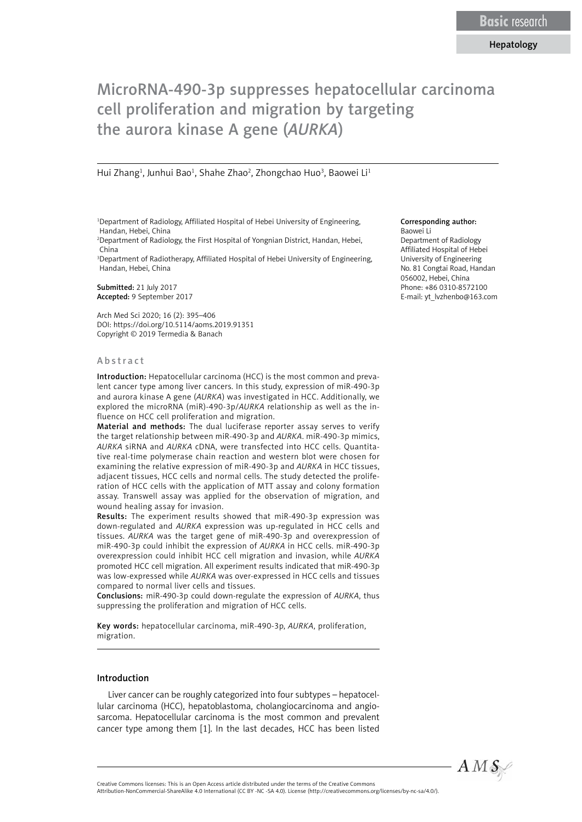# MicroRNA-490-3p suppresses hepatocellular carcinoma cell proliferation and migration by targeting the aurora kinase A gene (*AURKA*)

#### Hui Zhang<sup>1</sup>, Junhui Bao<sup>1</sup>, Shahe Zhao<sup>2</sup>, Zhongchao Huo<sup>3</sup>, Baowei Li<sup>1</sup>

1 Department of Radiology, Affiliated Hospital of Hebei University of Engineering, Handan, Hebei, China

2 Department of Radiology, the First Hospital of Yongnian District, Handan, Hebei, China

3 Department of Radiotherapy, Affiliated Hospital of Hebei University of Engineering, Handan, Hebei, China

Submitted: 21 July 2017 Accepted: 9 September 2017

Arch Med Sci 2020; 16 (2): 395–406 DOI: https://doi.org/10.5114/aoms.2019.91351 Copyright © 2019 Termedia & Banach

#### Abstract

Introduction: Hepatocellular carcinoma (HCC) is the most common and prevalent cancer type among liver cancers. In this study, expression of miR-490-3p and aurora kinase A gene (*AURKA*) was investigated in HCC. Additionally, we explored the microRNA (miR)-490-3p/*AURKA* relationship as well as the influence on HCC cell proliferation and migration.

Material and methods: The dual luciferase reporter assay serves to verify the target relationship between miR-490-3p and *AURKA*. miR-490-3p mimics, *AURKA* siRNA and *AURKA* cDNA, were transfected into HCC cells. Quantitative real-time polymerase chain reaction and western blot were chosen for examining the relative expression of miR-490-3p and *AURKA* in HCC tissues, adjacent tissues, HCC cells and normal cells. The study detected the proliferation of HCC cells with the application of MTT assay and colony formation assay. Transwell assay was applied for the observation of migration, and wound healing assay for invasion.

Results: The experiment results showed that miR-490-3p expression was down-regulated and *AURKA* expression was up-regulated in HCC cells and tissues. *AURKA* was the target gene of miR-490-3p and overexpression of miR-490-3p could inhibit the expression of *AURKA* in HCC cells. miR-490-3p overexpression could inhibit HCC cell migration and invasion, while *AURKA* promoted HCC cell migration. All experiment results indicated that miR-490-3p was low-expressed while *AURKA* was over-expressed in HCC cells and tissues compared to normal liver cells and tissues.

Conclusions: miR-490-3p could down-regulate the expression of *AURKA*, thus suppressing the proliferation and migration of HCC cells.

Key words: hepatocellular carcinoma, miR-490-3p, *AURKA*, proliferation, migration.

#### Introduction

Liver cancer can be roughly categorized into four subtypes – hepatocellular carcinoma (HCC), hepatoblastoma, cholangiocarcinoma and angiosarcoma. Hepatocellular carcinoma is the most common and prevalent cancer type among them [1]. In the last decades, HCC has been listed

#### Corresponding author: Baowei Li

Department of Radiology Affiliated Hospital of Hebei University of Engineering No. 81 Congtai Road, Handan 056002, Hebei, China Phone: +86 0310-8572100 E-mail: yt\_lvzhenbo@163.com



Creative Commons licenses: This is an Open Access article distributed under the terms of the Creative Commons

Attribution-NonCommercial-ShareAlike 4.0 International (CC BY -NC -SA 4.0). License (http://creativecommons.org/licenses/by-nc-sa/4.0/).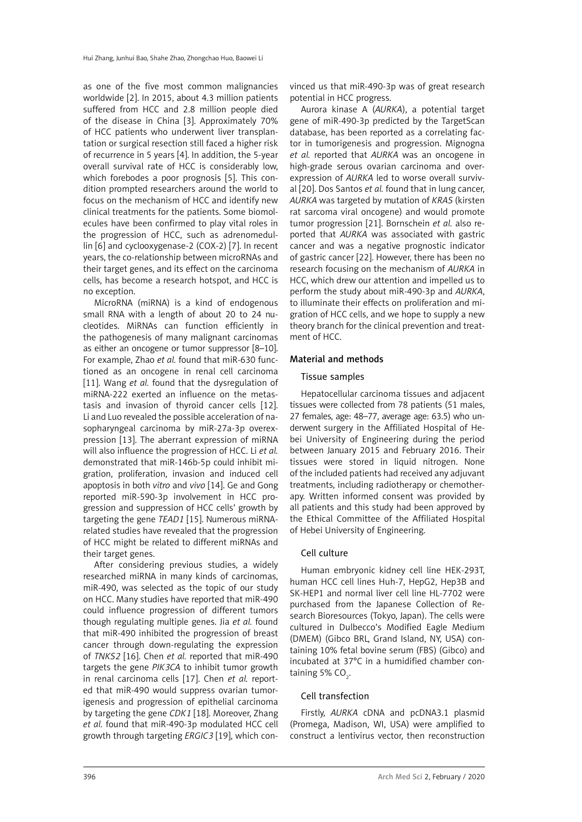as one of the five most common malignancies worldwide [2]. In 2015, about 4.3 million patients suffered from HCC and 2.8 million people died of the disease in China [3]. Approximately 70% of HCC patients who underwent liver transplantation or surgical resection still faced a higher risk of recurrence in 5 years [4]. In addition, the 5-year overall survival rate of HCC is considerably low, which forebodes a poor prognosis [5]. This condition prompted researchers around the world to focus on the mechanism of HCC and identify new clinical treatments for the patients. Some biomolecules have been confirmed to play vital roles in the progression of HCC, such as adrenomedullin [6] and cyclooxygenase-2 (COX-2) [7]. In recent years, the co-relationship between microRNAs and their target genes, and its effect on the carcinoma cells, has become a research hotspot, and HCC is no exception.

MicroRNA (miRNA) is a kind of endogenous small RNA with a length of about 20 to 24 nucleotides. MiRNAs can function efficiently in the pathogenesis of many malignant carcinomas as either an oncogene or tumor suppressor [8–10]. For example, Zhao *et al.* found that miR-630 functioned as an oncogene in renal cell carcinoma [11]. Wang *et al.* found that the dysregulation of miRNA-222 exerted an influence on the metastasis and invasion of thyroid cancer cells [12]. Li and Luo revealed the possible acceleration of nasopharyngeal carcinoma by miR-27a-3p overexpression [13]. The aberrant expression of miRNA will also influence the progression of HCC. Li *et al.* demonstrated that miR-146b-5p could inhibit migration, proliferation, invasion and induced cell apoptosis in both *vitro* and *vivo* [14]. Ge and Gong reported miR-590-3p involvement in HCC progression and suppression of HCC cells' growth by targeting the gene *TEAD1* [15]. Numerous miRNArelated studies have revealed that the progression of HCC might be related to different miRNAs and their target genes.

After considering previous studies, a widely researched miRNA in many kinds of carcinomas, miR-490, was selected as the topic of our study on HCC. Many studies have reported that miR-490 could influence progression of different tumors though regulating multiple genes. Jia *et al.* found that miR-490 inhibited the progression of breast cancer through down-regulating the expression of *TNKS2* [16]. Chen *et al.* reported that miR-490 targets the gene *PIK3CA* to inhibit tumor growth in renal carcinoma cells [17]. Chen *et al.* reported that miR-490 would suppress ovarian tumorigenesis and progression of epithelial carcinoma by targeting the gene *CDK1* [18]. Moreover, Zhang *et al.* found that miR-490-3p modulated HCC cell growth through targeting *ERGIC3* [19], which convinced us that miR-490-3p was of great research potential in HCC progress.

Aurora kinase A (*AURKA*), a potential target gene of miR-490-3p predicted by the TargetScan database, has been reported as a correlating factor in tumorigenesis and progression. Mignogna *et al.* reported that *AURKA* was an oncogene in high-grade serous ovarian carcinoma and overexpression of *AURKA* led to worse overall survival [20]. Dos Santos *et al.* found that in lung cancer, *AURKA* was targeted by mutation of *KRAS* (kirsten rat sarcoma viral oncogene) and would promote tumor progression [21]. Bornschein *et al.* also reported that *AURKA* was associated with gastric cancer and was a negative prognostic indicator of gastric cancer [22]. However, there has been no research focusing on the mechanism of *AURKA* in HCC, which drew our attention and impelled us to perform the study about miR-490-3p and *AURKA*, to illuminate their effects on proliferation and migration of HCC cells, and we hope to supply a new theory branch for the clinical prevention and treatment of HCC.

# Material and methods

# Tissue samples

Hepatocellular carcinoma tissues and adjacent tissues were collected from 78 patients (51 males, 27 females, age: 48–77, average age: 63.5) who underwent surgery in the Affiliated Hospital of Hebei University of Engineering during the period between January 2015 and February 2016. Their tissues were stored in liquid nitrogen. None of the included patients had received any adjuvant treatments, including radiotherapy or chemotherapy. Written informed consent was provided by all patients and this study had been approved by the Ethical Committee of the Affiliated Hospital of Hebei University of Engineering.

# Cell culture

Human embryonic kidney cell line HEK-293T, human HCC cell lines Huh-7, HepG2, Hep3B and SK-HEP1 and normal liver cell line HL-7702 were purchased from the Japanese Collection of Research Bioresources (Tokyo, Japan). The cells were cultured in Dulbecco's Modified Eagle Medium (DMEM) (Gibco BRL, Grand Island, NY, USA) containing 10% fetal bovine serum (FBS) (Gibco) and incubated at 37°C in a humidified chamber containing 5% CO $_{_2}$ .

# Cell transfection

Firstly, *AURKA* cDNA and pcDNA3.1 plasmid (Promega, Madison, WI, USA) were amplified to construct a lentivirus vector, then reconstruction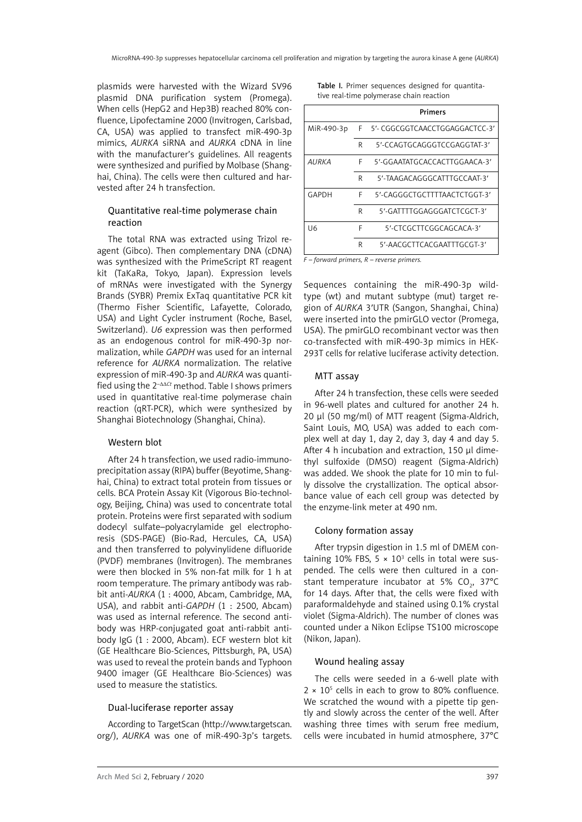plasmids were harvested with the Wizard SV96 plasmid DNA purification system (Promega). When cells (HepG2 and Hep3B) reached 80% confluence, Lipofectamine 2000 (Invitrogen, Carlsbad, CA, USA) was applied to transfect miR-490-3p mimics, *AURKA* siRNA and *AURKA* cDNA in line with the manufacturer's guidelines. All reagents were synthesized and purified by Molbase (Shanghai, China). The cells were then cultured and harvested after 24 h transfection.

### Quantitative real-time polymerase chain reaction

The total RNA was extracted using Trizol reagent (Gibco). Then complementary DNA (cDNA) was synthesized with the PrimeScript RT reagent kit (TaKaRa, Tokyo, Japan). Expression levels of mRNAs were investigated with the Synergy Brands (SYBR) Premix ExTaq quantitative PCR kit (Thermo Fisher Scientific, Lafayette, Colorado, USA) and Light Cycler instrument (Roche, Basel, Switzerland). *U6* expression was then performed as an endogenous control for miR-490-3p normalization, while *GAPDH* was used for an internal reference for *AURKA* normalization. The relative expression of miR-490-3p and *AURKA* was quantified using the 2–ΔΔ*Ct* method. Table I shows primers used in quantitative real-time polymerase chain reaction (qRT-PCR), which were synthesized by Shanghai Biotechnology (Shanghai, China).

#### Western blot

After 24 h transfection, we used radio-immunoprecipitation assay (RIPA) buffer (Beyotime, Shanghai, China) to extract total protein from tissues or cells. BCA Protein Assay Kit (Vigorous Bio-technology, Beijing, China) was used to concentrate total protein. Proteins were first separated with sodium dodecyl sulfate–polyacrylamide gel electrophoresis (SDS-PAGE) (Bio-Rad, Hercules, CA, USA) and then transferred to polyvinylidene difluoride (PVDF) membranes (Invitrogen). The membranes were then blocked in 5% non-fat milk for 1 h at room temperature. The primary antibody was rabbit anti-*AURKA* (1 : 4000, Abcam, Cambridge, MA, USA), and rabbit anti-*GAPDH* (1 : 2500, Abcam) was used as internal reference. The second antibody was HRP-conjugated goat anti-rabbit antibody IgG (1 : 2000, Abcam). ECF western blot kit (GE Healthcare Bio-Sciences, Pittsburgh, PA, USA) was used to reveal the protein bands and Typhoon 9400 imager (GE Healthcare Bio-Sciences) was used to measure the statistics.

#### Dual-luciferase reporter assay

According to TargetScan (http://www.targetscan. org/), *AURKA* was one of miR-490-3p's targets. Table I. Primer sequences designed for quantitative real-time polymerase chain reaction

|            |   | Primers                          |  |  |  |
|------------|---|----------------------------------|--|--|--|
| MiR-490-3p |   | F 5'- CGGCGGTCAACCTGGAGGACTCC-3' |  |  |  |
|            | R | 5'-CCAGTGCAGGGTCCGAGGTAT-3'      |  |  |  |
| AURKA      | F | 5'-GGAATATGCACCACTTGGAACA-3'     |  |  |  |
|            | R | 5'-TAAGACAGGGCATTTGCCAAT-3'      |  |  |  |
| GAPDH      | F | 5'-CAGGGCTGCTTTTAACTCTGGT-3'     |  |  |  |
|            | R | 5'-GATTTTGGAGGGATCTCGCT-3'       |  |  |  |
| 116        | F | 5'-CTCGCTTCGGCAGCACA-3'          |  |  |  |
|            | R | 5'-AACGCTTCACGAATTTGCGT-3'       |  |  |  |

*F – forward primers, R – reverse primers.*

Sequences containing the miR-490-3p wildtype (wt) and mutant subtype (mut) target region of *AURKA* 3′UTR (Sangon, Shanghai, China) were inserted into the pmirGLO vector (Promega, USA). The pmirGLO recombinant vector was then co-transfected with miR-490-3p mimics in HEK-293T cells for relative luciferase activity detection.

#### MTT assay

After 24 h transfection, these cells were seeded in 96-well plates and cultured for another 24 h. 20 μl (50 mg/ml) of MTT reagent (Sigma-Aldrich, Saint Louis, MO, USA) was added to each complex well at day 1, day 2, day 3, day 4 and day 5. After 4 h incubation and extraction, 150 μl dimethyl sulfoxide (DMSO) reagent (Sigma-Aldrich) was added. We shook the plate for 10 min to fully dissolve the crystallization. The optical absorbance value of each cell group was detected by the enzyme-link meter at 490 nm.

#### Colony formation assay

After trypsin digestion in 1.5 ml of DMEM containing 10% FBS,  $5 \times 10^3$  cells in total were suspended. The cells were then cultured in a constant temperature incubator at 5%  $CO<sub>2</sub>$ , 37°C for 14 days. After that, the cells were fixed with paraformaldehyde and stained using 0.1% crystal violet (Sigma-Aldrich). The number of clones was counted under a Nikon Eclipse TS100 microscope (Nikon, Japan).

#### Wound healing assay

The cells were seeded in a 6-well plate with  $2 \times 10^5$  cells in each to grow to 80% confluence. We scratched the wound with a pipette tip gently and slowly across the center of the well. After washing three times with serum free medium, cells were incubated in humid atmosphere, 37°C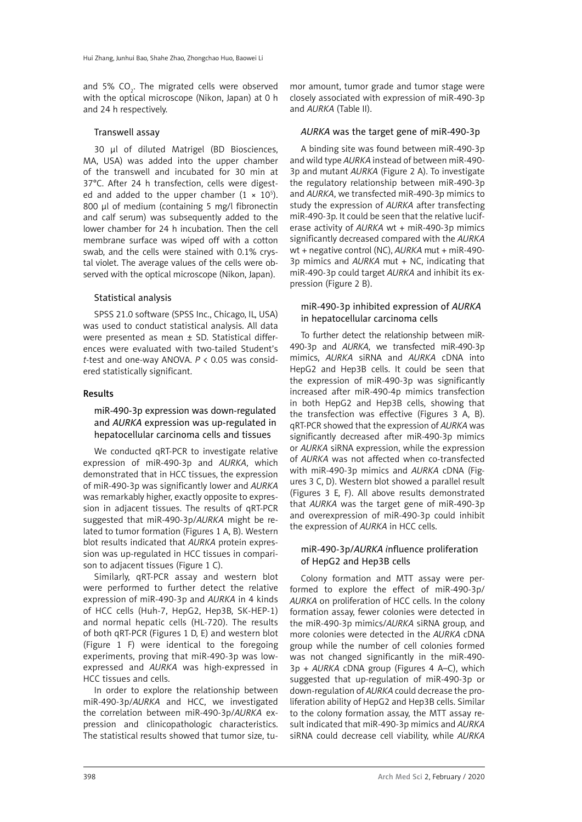and 5%  $CO<sub>2</sub>$ . The migrated cells were observed with the optical microscope (Nikon, Japan) at 0 h and 24 h respectively.

#### Transwell assay

30 μl of diluted Matrigel (BD Biosciences, MA, USA) was added into the upper chamber of the transwell and incubated for 30 min at 37°C. After 24 h transfection, cells were digested and added to the upper chamber  $(1 \times 10^5)$ . 800 μl of medium (containing 5 mg/l fibronectin and calf serum) was subsequently added to the lower chamber for 24 h incubation. Then the cell membrane surface was wiped off with a cotton swab, and the cells were stained with 0.1% crystal violet. The average values of the cells were observed with the optical microscope (Nikon, Japan).

#### Statistical analysis

SPSS 21.0 software (SPSS Inc., Chicago, IL, USA) was used to conduct statistical analysis. All data were presented as mean ± SD. Statistical differences were evaluated with two-tailed Student's *t*-test and one-way ANOVA. *P* < 0.05 was considered statistically significant.

#### Results

### miR-490-3p expression was down-regulated and *AURKA* expression was up-regulated in hepatocellular carcinoma cells and tissues

We conducted qRT-PCR to investigate relative expression of miR-490-3p and *AURKA*, which demonstrated that in HCC tissues, the expression of miR-490-3p was significantly lower and *AURKA*  was remarkably higher, exactly opposite to expression in adjacent tissues. The results of qRT-PCR suggested that miR-490-3p/*AURKA* might be related to tumor formation (Figures 1 A, B). Western blot results indicated that *AURKA* protein expression was up-regulated in HCC tissues in comparison to adjacent tissues (Figure 1 C).

Similarly, qRT-PCR assay and western blot were performed to further detect the relative expression of miR-490-3p and *AURKA* in 4 kinds of HCC cells (Huh-7, HepG2, Hep3B, SK-HEP-1) and normal hepatic cells (HL-720). The results of both qRT-PCR (Figures 1 D, E) and western blot (Figure 1 F) were identical to the foregoing experiments, proving that miR-490-3p was lowexpressed and *AURKA* was high-expressed in HCC tissues and cells.

In order to explore the relationship between miR-490-3p/*AURKA* and HCC, we investigated the correlation between miR-490-3p/*AURKA* expression and clinicopathologic characteristics. The statistical results showed that tumor size, tu-

mor amount, tumor grade and tumor stage were closely associated with expression of miR-490-3p and *AURKA* (Table II).

#### *AURKA* was the target gene of miR-490-3p

A binding site was found between miR-490-3p and wild type *AURKA* instead of between miR-490- 3p and mutant *AURKA* (Figure 2 A). To investigate the regulatory relationship between miR-490-3p and *AURKA*, we transfected miR-490-3p mimics to study the expression of *AURKA* after transfecting miR-490-3p. It could be seen that the relative luciferase activity of *AURKA* wt + miR-490-3p mimics significantly decreased compared with the *AURKA* wt + negative control (NC), *AURKA* mut + miR-490- 3p mimics and *AURKA* mut + NC, indicating that miR-490-3p could target *AURKA* and inhibit its expression (Figure 2 B).

#### miR-490-3p inhibited expression of *AURKA* in hepatocellular carcinoma cells

To further detect the relationship between miR-490-3p and *AURKA*, we transfected miR-490-3p mimics, *AURKA* siRNA and *AURKA* cDNA into HepG2 and Hep3B cells. It could be seen that the expression of miR-490-3p was significantly increased after miR-490-4p mimics transfection in both HepG2 and Hep3B cells, showing that the transfection was effective (Figures 3 A, B). qRT-PCR showed that the expression of *AURKA* was significantly decreased after miR-490-3p mimics or *AURKA* siRNA expression, while the expression of *AURKA* was not affected when co-transfected with miR-490-3p mimics and *AURKA* cDNA (Figures 3 C, D). Western blot showed a parallel result (Figures 3 E, F). All above results demonstrated that *AURKA* was the target gene of miR-490-3p and overexpression of miR-490-3p could inhibit the expression of *AURKA* in HCC cells.

#### miR-490-3p/*AURKA i*nfluence proliferation of HepG2 and Hep3B cells

Colony formation and MTT assay were performed to explore the effect of miR-490-3p/ *AURKA* on proliferation of HCC cells. In the colony formation assay, fewer colonies were detected in the miR-490-3p mimics/*AURKA* siRNA group, and more colonies were detected in the *AURKA* cDNA group while the number of cell colonies formed was not changed significantly in the miR-490- 3p + *AURKA* cDNA group (Figures 4 A–C), which suggested that up-regulation of miR-490-3p or down-regulation of *AURKA* could decrease the proliferation ability of HepG2 and Hep3B cells. Similar to the colony formation assay, the MTT assay result indicated that miR-490-3p mimics and *AURKA* siRNA could decrease cell viability, while *AURKA*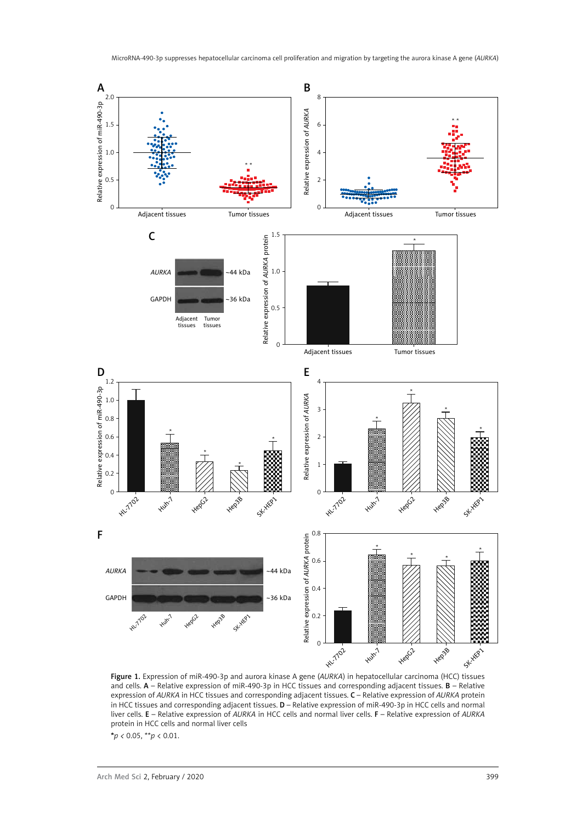

Figure 1. Expression of miR-490-3p and aurora kinase A gene (*AURKA*) in hepatocellular carcinoma (HCC) tissues and cells. A – Relative expression of miR-490-3p in HCC tissues and corresponding adjacent tissues. B – Relative expression of *AURKA* in HCC tissues and corresponding adjacent tissues. C – Relative expression of *AURKA* protein in HCC tissues and corresponding adjacent tissues. D – Relative expression of miR-490-3p in HCC cells and normal liver cells. E – Relative expression of *AURKA* in HCC cells and normal liver cells. F – Relative expression of *AURKA*  protein in HCC cells and normal liver cells

\**p <* 0.05, \*\**p* < 0.01.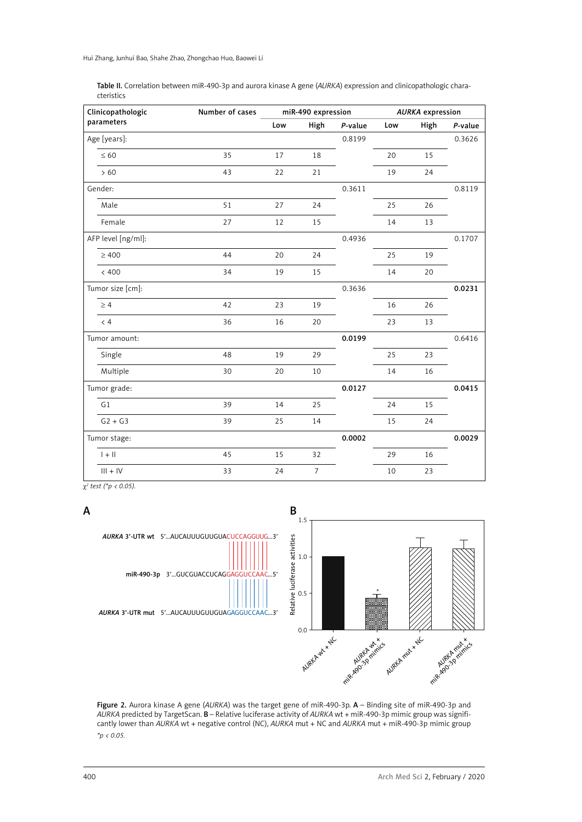| Table II. Correlation between miR-490-3p and aurora kinase A gene (AURKA) expression and clinicopathologic chara- |
|-------------------------------------------------------------------------------------------------------------------|
| cteristics                                                                                                        |

| Clinicopathologic  | Number of cases | miR-490 expression |                |         | <b>AURKA</b> expression |      |         |
|--------------------|-----------------|--------------------|----------------|---------|-------------------------|------|---------|
| parameters         |                 | Low                | High           | P-value | Low                     | High | P-value |
| Age [years]:       |                 |                    |                | 0.8199  |                         |      | 0.3626  |
| $\leq 60$          | 35              | 17                 | 18             |         | 20                      | 15   |         |
| >60                | 43              | 22                 | 21             |         | 19                      | 24   |         |
| Gender:            |                 |                    |                | 0.3611  |                         |      | 0.8119  |
| Male               | 51              | 27                 | 24             |         | 25                      | 26   |         |
| Female             | 27              | 12                 | 15             |         | 14                      | 13   |         |
| AFP level [ng/ml]: |                 |                    |                | 0.4936  |                         |      | 0.1707  |
| $\geq 400$         | 44              | 20                 | 24             |         | 25                      | 19   |         |
| < 400              | 34              | 19                 | 15             |         | 14                      | 20   |         |
| Tumor size [cm]:   |                 |                    |                | 0.3636  |                         |      | 0.0231  |
| $\geq 4$           | 42              | 23                 | 19             |         | 16                      | 26   |         |
| $\langle 4$        | 36              | 16                 | 20             |         | 23                      | 13   |         |
| Tumor amount:      |                 |                    |                | 0.0199  |                         |      | 0.6416  |
| Single             | 48              | 19                 | 29             |         | 25                      | 23   |         |
| Multiple           | 30              | 20                 | 10             |         | 14                      | 16   |         |
| Tumor grade:       |                 |                    |                | 0.0127  |                         |      | 0.0415  |
| G1                 | 39              | 14                 | 25             |         | 24                      | 15   |         |
| $G2 + G3$          | 39              | 25                 | 14             |         | 15                      | 24   |         |
| Tumor stage:       |                 |                    |                | 0.0002  |                         |      | 0.0029  |
| $  +  $            | 45              | 15                 | 32             |         | 29                      | 16   |         |
| $III + IV$         | 33              | 24                 | $\overline{7}$ |         | 10                      | 23   |         |

χ*2 test (\*p < 0.05).*





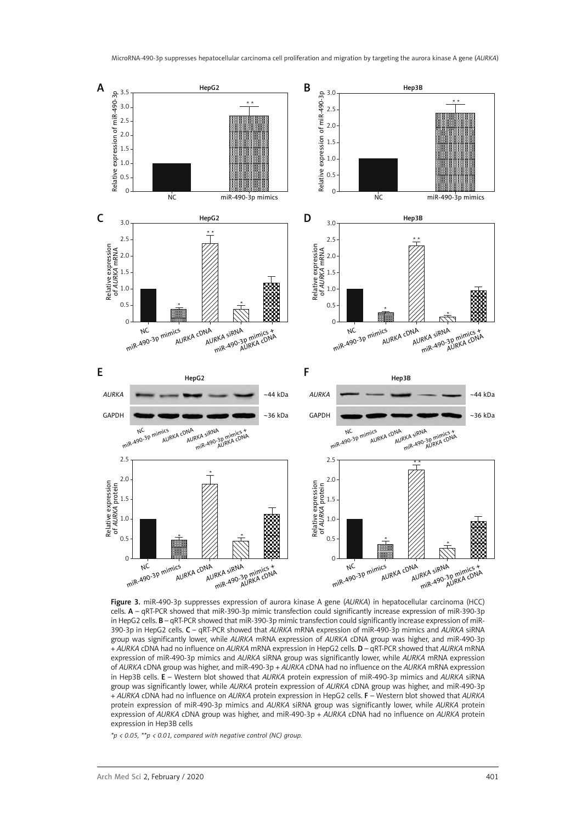

Figure 3. miR-490-3p suppresses expression of aurora kinase A gene (*AURKA*) in hepatocellular carcinoma (HCC) cells. A – qRT-PCR showed that miR-390-3p mimic transfection could significantly increase expression of miR-390-3p in HepG2 cells. B – qRT-PCR showed that miR-390-3p mimic transfection could significantly increase expression of miR-390-3p in HepG2 cells. C – qRT-PCR showed that *AURKA* mRNA expression of miR-490-3p mimics and *AURKA* siRNA group was significantly lower, while *AURKA* mRNA expression of *AURKA* cDNA group was higher, and miR-490-3p + *AURKA* cDNA had no influence on *AURKA* mRNA expression in HepG2 cells. D – qRT-PCR showed that *AURKA* mRNA expression of miR-490-3p mimics and *AURKA* siRNA group was significantly lower, while *AURKA* mRNA expression of *AURKA* cDNA group was higher, and miR-490-3p + *AURKA* cDNA had no influence on the *AURKA* mRNA expression in Hep3B cells. E – Western blot showed that *AURKA* protein expression of miR-490-3p mimics and *AURKA* siRNA group was significantly lower, while *AURKA* protein expression of *AURKA* cDNA group was higher, and miR-490-3p + *AURKA* cDNA had no influence on *AURKA* protein expression in HepG2 cells. F – Western blot showed that *AURKA* protein expression of miR-490-3p mimics and *AURKA* siRNA group was significantly lower, while *AURKA* protein expression of *AURKA* cDNA group was higher, and miR-490-3p + *AURKA* cDNA had no influence on *AURKA* protein expression in Hep3B cells

*\*p < 0.05, \*\*p < 0.01, compared with negative control (NC) group.*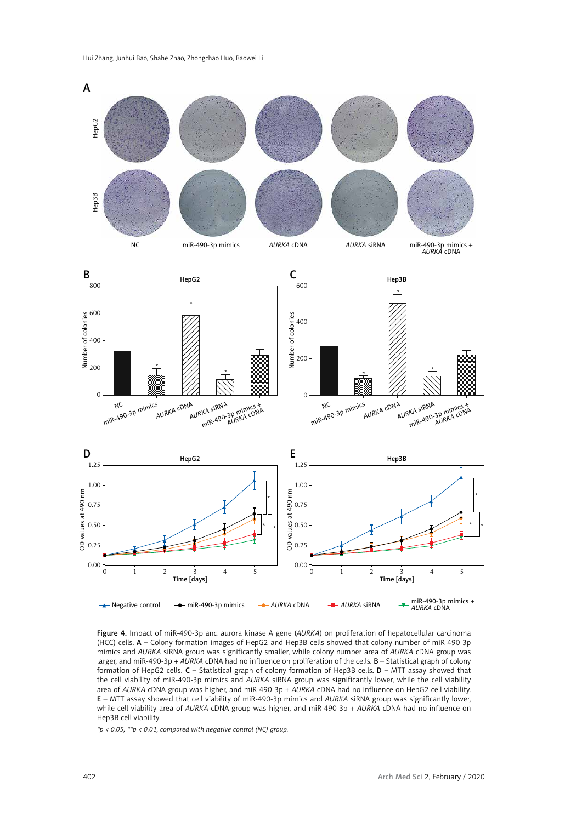

Figure 4. Impact of miR-490-3p and aurora kinase A gene (*AURKA*) on proliferation of hepatocellular carcinoma (HCC) cells. A – Colony formation images of HepG2 and Hep3B cells showed that colony number of miR-490-3p mimics and *AURKA* siRNA group was significantly smaller, while colony number area of *AURKA* cDNA group was larger, and miR-490-3p + *AURKA* cDNA had no influence on proliferation of the cells. B – Statistical graph of colony formation of HepG2 cells. C – Statistical graph of colony formation of Hep3B cells. D – MTT assay showed that the cell viability of miR-490-3p mimics and *AURKA* siRNA group was significantly lower, while the cell viability area of *AURKA* cDNA group was higher, and miR-490-3p + *AURKA* cDNA had no influence on HepG2 cell viability. E – MTT assay showed that cell viability of miR-490-3p mimics and *AURKA* siRNA group was significantly lower, while cell viability area of *AURKA* cDNA group was higher, and miR-490-3p + *AURKA* cDNA had no influence on Hep3B cell viability

*\*p < 0.05, \*\*p < 0.01, compared with negative control (NC) group.*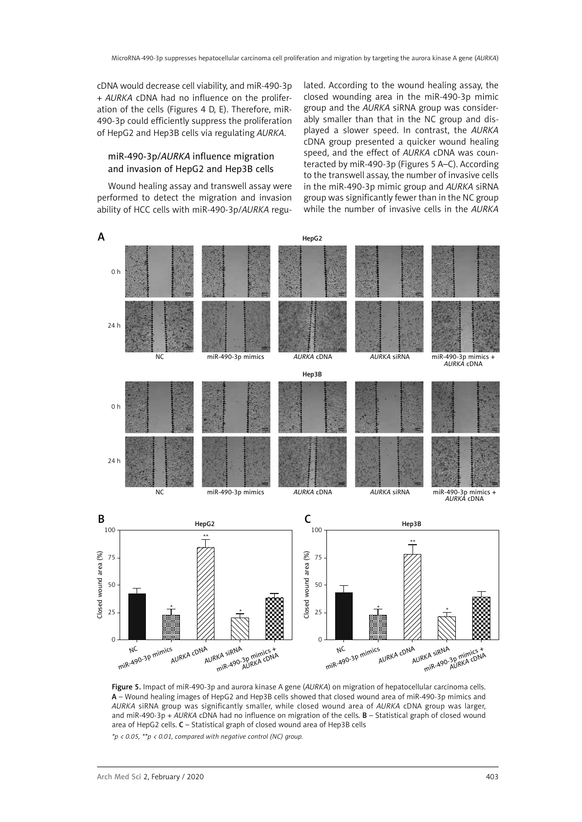cDNA would decrease cell viability, and miR-490-3p + *AURKA* cDNA had no influence on the proliferation of the cells (Figures 4 D, E). Therefore, miR-490-3p could efficiently suppress the proliferation of HepG2 and Hep3B cells via regulating *AURKA*.

### miR-490-3p/*AURKA* influence migration and invasion of HepG2 and Hep3B cells

Wound healing assay and transwell assay were performed to detect the migration and invasion ability of HCC cells with miR-490-3p/*AURKA* regulated. According to the wound healing assay, the closed wounding area in the miR-490-3p mimic group and the *AURKA* siRNA group was considerably smaller than that in the NC group and displayed a slower speed. In contrast, the *AURKA* cDNA group presented a quicker wound healing speed, and the effect of *AURKA* cDNA was counteracted by miR-490-3p (Figures 5 A–C). According to the transwell assay, the number of invasive cells in the miR-490-3p mimic group and *AURKA* siRNA group was significantly fewer than in the NC group while the number of invasive cells in the *AURKA*



Figure 5. Impact of miR-490-3p and aurora kinase A gene (*AURKA*) on migration of hepatocellular carcinoma cells. A – Wound healing images of HepG2 and Hep3B cells showed that closed wound area of miR-490-3p mimics and *AURKA* siRNA group was significantly smaller, while closed wound area of *AURKA* cDNA group was larger, and miR-490-3p + *AURKA* cDNA had no influence on migration of the cells. B – Statistical graph of closed wound area of HepG2 cells. C – Statistical graph of closed wound area of Hep3B cells

*\*p < 0.05, \*\*p < 0.01, compared with negative control (NC) group.*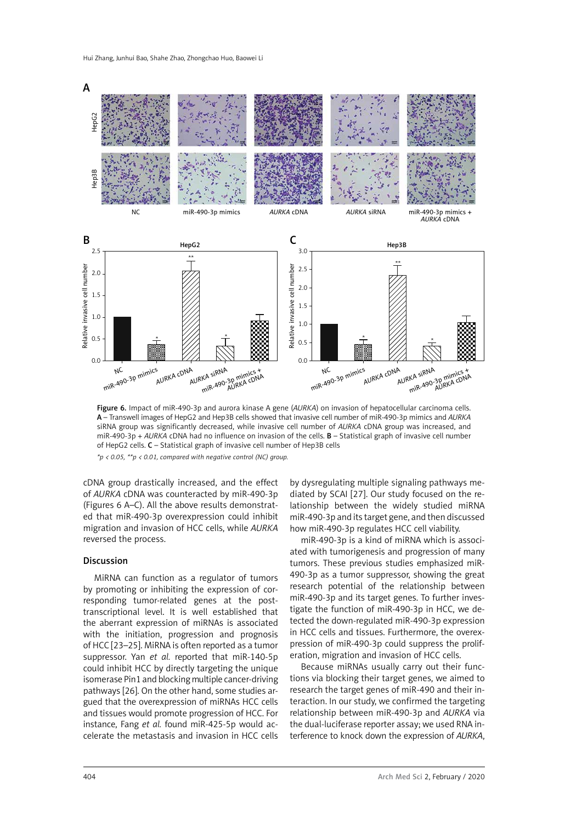

Figure 6. Impact of miR-490-3p and aurora kinase A gene (*AURKA*) on invasion of hepatocellular carcinoma cells. A – Transwell images of HepG2 and Hep3B cells showed that invasive cell number of miR-490-3p mimics and *AURKA* siRNA group was significantly decreased, while invasive cell number of *AURKA* cDNA group was increased, and miR-490-3p + *AURKA* cDNA had no influence on invasion of the cells. B – Statistical graph of invasive cell number of HepG2 cells. C – Statistical graph of invasive cell number of Hep3B cells *\*p < 0.05, \*\*p < 0.01, compared with negative control (NC) group.*

cDNA group drastically increased, and the effect of *AURKA* cDNA was counteracted by miR-490-3p (Figures 6 A–C). All the above results demonstrated that miR-490-3p overexpression could inhibit migration and invasion of HCC cells, while *AURKA* reversed the process.

#### Discussion

MiRNA can function as a regulator of tumors by promoting or inhibiting the expression of corresponding tumor-related genes at the posttranscriptional level. It is well established that the aberrant expression of miRNAs is associated with the initiation, progression and prognosis of HCC [23–25]. MiRNA is often reported as a tumor suppressor. Yan *et al.* reported that miR-140-5p could inhibit HCC by directly targeting the unique isomerase Pin1 and blocking multiple cancer-driving pathways [26]. On the other hand, some studies argued that the overexpression of miRNAs HCC cells and tissues would promote progression of HCC. For instance, Fang *et al.* found miR-425-5p would accelerate the metastasis and invasion in HCC cells by dysregulating multiple signaling pathways mediated by SCAI [27]. Our study focused on the relationship between the widely studied miRNA miR-490-3p and its target gene, and then discussed how miR-490-3p regulates HCC cell viability.

miR-490-3p is a kind of miRNA which is associated with tumorigenesis and progression of many tumors. These previous studies emphasized miR-490-3p as a tumor suppressor, showing the great research potential of the relationship between miR-490-3p and its target genes. To further investigate the function of miR-490-3p in HCC, we detected the down-regulated miR-490-3p expression in HCC cells and tissues. Furthermore, the overexpression of miR-490-3p could suppress the proliferation, migration and invasion of HCC cells.

Because miRNAs usually carry out their functions via blocking their target genes, we aimed to research the target genes of miR-490 and their interaction. In our study, we confirmed the targeting relationship between miR-490-3p and *AURKA* via the dual-luciferase reporter assay; we used RNA interference to knock down the expression of *AURKA*,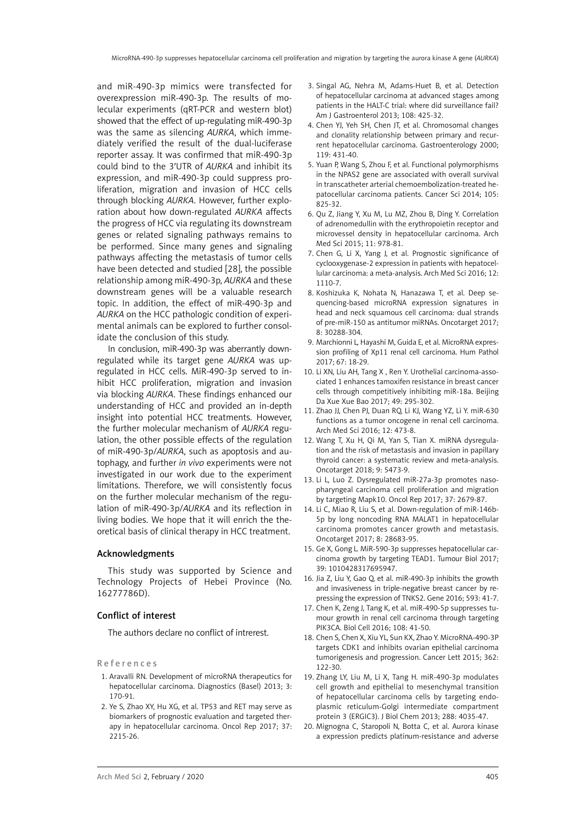and miR-490-3p mimics were transfected for overexpression miR-490-3p. The results of molecular experiments (qRT-PCR and western blot) showed that the effect of up-regulating miR-490-3p was the same as silencing *AURKA*, which immediately verified the result of the dual-luciferase reporter assay. It was confirmed that miR-490-3p could bind to the 3′UTR of *AURKA* and inhibit its expression, and miR-490-3p could suppress proliferation, migration and invasion of HCC cells through blocking *AURKA*. However, further exploration about how down-regulated *AURKA* affects the progress of HCC via regulating its downstream genes or related signaling pathways remains to be performed. Since many genes and signaling pathways affecting the metastasis of tumor cells have been detected and studied [28], the possible relationship among miR-490-3p, *AURKA* and these downstream genes will be a valuable research topic. In addition, the effect of miR-490-3p and *AURKA* on the HCC pathologic condition of experimental animals can be explored to further consolidate the conclusion of this study.

In conclusion, miR-490-3p was aberrantly downregulated while its target gene *AURKA* was upregulated in HCC cells. MiR-490-3p served to inhibit HCC proliferation, migration and invasion via blocking *AURKA*. These findings enhanced our understanding of HCC and provided an in-depth insight into potential HCC treatments. However, the further molecular mechanism of *AURKA* regulation, the other possible effects of the regulation of miR-490-3p/*AURKA*, such as apoptosis and autophagy, and further *in vivo* experiments were not investigated in our work due to the experiment limitations. Therefore, we will consistently focus on the further molecular mechanism of the regulation of miR-490-3p/*AURKA* and its reflection in living bodies. We hope that it will enrich the theoretical basis of clinical therapy in HCC treatment.

#### Acknowledgments

This study was supported by Science and Technology Projects of Hebei Province (No. 16277786D).

#### Conflict of interest

The authors declare no conflict of intrerest.

References

- 1. Aravalli RN. Development of microRNA therapeutics for hepatocellular carcinoma. Diagnostics (Basel) 2013; 3: 170-91.
- 2. Ye S, Zhao XY, Hu XG, et al. TP53 and RET may serve as biomarkers of prognostic evaluation and targeted therapy in hepatocellular carcinoma. Oncol Rep 2017; 37: 2215-26.
- 3. Singal AG, Nehra M, Adams-Huet B, et al. Detection of hepatocellular carcinoma at advanced stages among patients in the HALT-C trial: where did surveillance fail? Am J Gastroenterol 2013; 108: 425-32.
- 4. Chen YJ, Yeh SH, Chen JT, et al. Chromosomal changes and clonality relationship between primary and recurrent hepatocellular carcinoma. Gastroenterology 2000; 119: 431-40.
- 5. Yuan P, Wang S, Zhou F, et al. Functional polymorphisms in the NPAS2 gene are associated with overall survival in transcatheter arterial chemoembolization-treated hepatocellular carcinoma patients. Cancer Sci 2014; 105: 825-32.
- 6. Qu Z, Jiang Y, Xu M, Lu MZ, Zhou B, Ding Y. Correlation of adrenomedullin with the erythropoietin receptor and microvessel density in hepatocellular carcinoma. Arch Med Sci 2015; 11: 978-81.
- 7. Chen G, Li X, Yang J, et al. Prognostic significance of cyclooxygenase-2 expression in patients with hepatocellular carcinoma: a meta-analysis. Arch Med Sci 2016; 12: 1110-7.
- 8. Koshizuka K, Nohata N, Hanazawa T, et al. Deep sequencing-based microRNA expression signatures in head and neck squamous cell carcinoma: dual strands of pre-miR-150 as antitumor miRNAs. Oncotarget 2017; 8: 30288-304.
- 9. Marchionni L, Hayashi M, Guida E, et al. MicroRNA expression profiling of Xp11 renal cell carcinoma. Hum Pathol 2017; 67: 18-29.
- 10. Li XN, Liu AH, Tang X , Ren Y. Urothelial carcinoma-associated 1 enhances tamoxifen resistance in breast cancer cells through competitively inhibiting miR-18a. Beijing Da Xue Xue Bao 2017; 49: 295-302.
- 11. Zhao JJ, Chen PJ, Duan RQ, Li KJ, Wang YZ, Li Y. miR-630 functions as a tumor oncogene in renal cell carcinoma. Arch Med Sci 2016; 12: 473-8.
- 12. Wang T, Xu H, Qi M, Yan S, Tian X. miRNA dysregulation and the risk of metastasis and invasion in papillary thyroid cancer: a systematic review and meta-analysis. Oncotarget 2018; 9: 5473-9.
- 13. Li L, Luo Z. Dysregulated miR-27a-3p promotes nasopharyngeal carcinoma cell proliferation and migration by targeting Mapk10. Oncol Rep 2017; 37: 2679-87.
- 14. Li C, Miao R, Liu S, et al. Down-regulation of miR-146b-5p by long noncoding RNA MALAT1 in hepatocellular carcinoma promotes cancer growth and metastasis. Oncotarget 2017; 8: 28683-95.
- 15. Ge X, Gong L. MiR-590-3p suppresses hepatocellular carcinoma growth by targeting TEAD1. Tumour Biol 2017; 39: 1010428317695947.
- 16. Jia Z, Liu Y, Gao Q, et al. miR-490-3p inhibits the growth and invasiveness in triple-negative breast cancer by repressing the expression of TNKS2. Gene 2016; 593: 41-7.
- 17. Chen K, Zeng J, Tang K, et al. miR-490-5p suppresses tumour growth in renal cell carcinoma through targeting PIK3CA. Biol Cell 2016; 108: 41-50.
- 18. Chen S, Chen X, Xiu YL, Sun KX, Zhao Y. MicroRNA-490-3P targets CDK1 and inhibits ovarian epithelial carcinoma tumorigenesis and progression. Cancer Lett 2015; 362: 122-30.
- 19. Zhang LY, Liu M, Li X, Tang H. miR-490-3p modulates cell growth and epithelial to mesenchymal transition of hepatocellular carcinoma cells by targeting endoplasmic reticulum-Golgi intermediate compartment protein 3 (ERGIC3). J Biol Chem 2013; 288: 4035-47.
- 20. Mignogna C, Staropoli N, Botta C, et al. Aurora kinase a expression predicts platinum-resistance and adverse